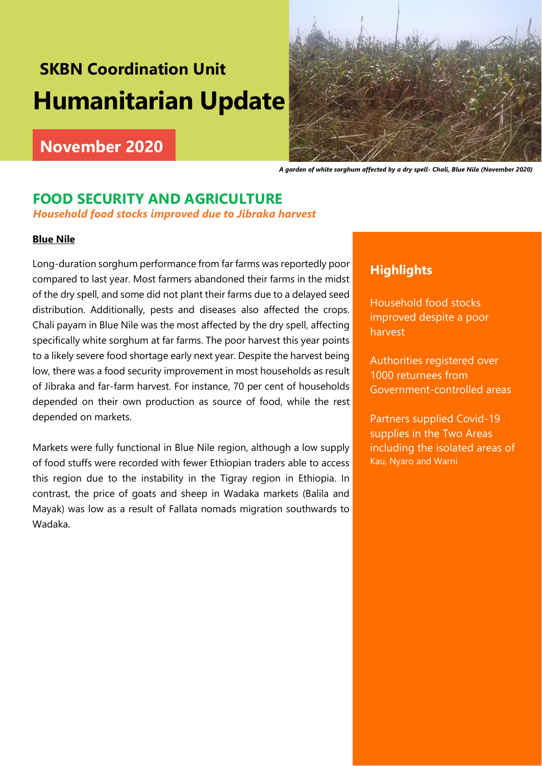# **SKBN Coordination Unit Humanitarian Update**

# **November 2020**



 *A garden of white sorghum affected by a dry spell- Chali, Blue Nile (November 2020)*

### **FOOD SECURITY AND AGRICULTURE**

*Household food stocks improved due to Jibraka harvest*

### **Blue Nile**

Long-duration sorghum performance from far farms was reportedly poor compared to last year. Most farmers abandoned their farms in the midst of the dry spell, and some did not plant their farms due to a delayed seed distribution. Additionally, pests and diseases also affected the crops. Chali payam in Blue Nile was the most affected by the dry spell, affecting specifically white sorghum at far farms. The poor harvest this year points to a likely severe food shortage early next year. Despite the harvest being low, there was a food security improvement in most households as result of Jibraka and far-farm harvest. For instance, 70 per cent of households depended on their own production as source of food, while the rest depended on markets.

Markets were fully functional in Blue Nile region, although a low supply of food stuffs were recorded with fewer Ethiopian traders able to access this region due to the instability in the Tigray region in Ethiopia. In contrast, the price of goats and sheep in Wadaka markets (Balila and Mayak) was low as a result of Fallata nomads migration southwards to Wadaka.

### **Highlights**

Household food stocks improved despite a poor harvest

Authorities registered over 1000 returnees from Government-controlled areas

Partners supplied Covid-19 supplies in the Two Areas including the isolated areas of Kau, Nyaro and Warni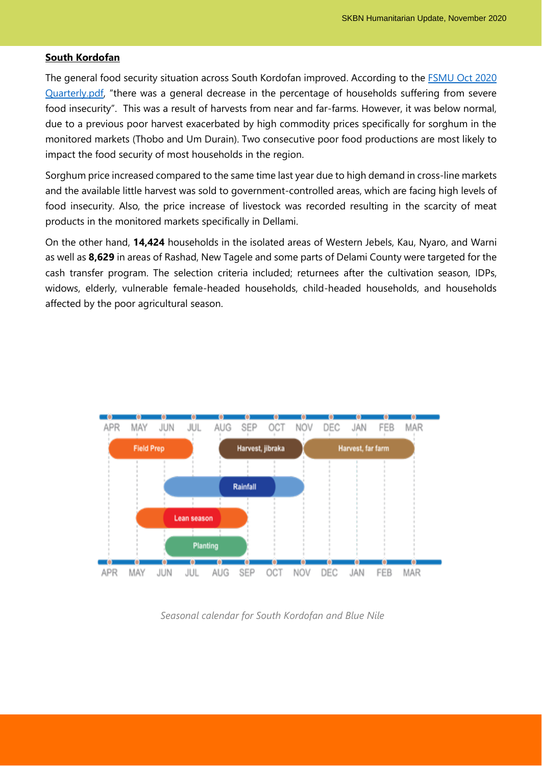#### **South Kordofan**

The general food security situation across South Kordofan improved. According to the [FSMU Oct 2020](file:///C:/Users/RHHoffman/Desktop/FSMU%20Oct%202020%20Quarterly.pdf)  [Quarterly.pdf](file:///C:/Users/RHHoffman/Desktop/FSMU%20Oct%202020%20Quarterly.pdf), "there was a general decrease in the percentage of households suffering from severe food insecurity". This was a result of harvests from near and far-farms. However, it was below normal, due to a previous poor harvest exacerbated by high commodity prices specifically for sorghum in the monitored markets (Thobo and Um Durain). Two consecutive poor food productions are most likely to impact the food security of most households in the region.

Sorghum price increased compared to the same time last year due to high demand in cross-line markets and the available little harvest was sold to government-controlled areas, which are facing high levels of food insecurity. Also, the price increase of livestock was recorded resulting in the scarcity of meat products in the monitored markets specifically in Dellami.

On the other hand, **14,424** households in the isolated areas of Western Jebels, Kau, Nyaro, and Warni as well as **8,629** in areas of Rashad, New Tagele and some parts of Delami County were targeted for the cash transfer program. The selection criteria included; returnees after the cultivation season, IDPs, widows, elderly, vulnerable female-headed households, child-headed households, and households affected by the poor agricultural season.



*Seasonal calendar for South Kordofan and Blue Nile*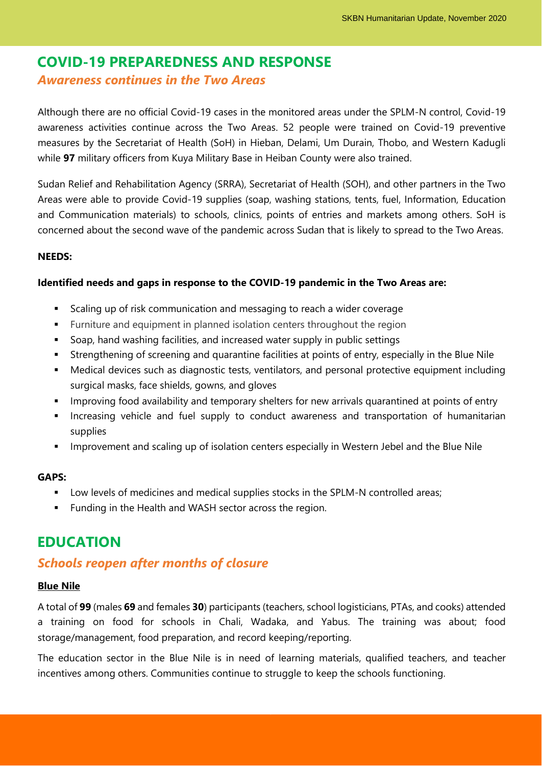## **COVID-19 PREPAREDNESS AND RESPONSE**

### *Awareness continues in the Two Areas*

Although there are no official Covid-19 cases in the monitored areas under the SPLM-N control, Covid-19 awareness activities continue across the Two Areas. 52 people were trained on Covid-19 preventive measures by the Secretariat of Health (SoH) in Hieban, Delami, Um Durain, Thobo, and Western Kadugli while **97** military officers from Kuya Military Base in Heiban County were also trained.

Sudan Relief and Rehabilitation Agency (SRRA), Secretariat of Health (SOH), and other partners in the Two Areas were able to provide Covid-19 supplies (soap, washing stations, tents, fuel, Information, Education and Communication materials) to schools, clinics, points of entries and markets among others. SoH is concerned about the second wave of the pandemic across Sudan that is likely to spread to the Two Areas.

### **NEEDS:**

### **Identified needs and gaps in response to the COVID-19 pandemic in the Two Areas are:**

- Scaling up of risk communication and messaging to reach a wider coverage
- Furniture and equipment in planned isolation centers throughout the region
- Soap, hand washing facilities, and increased water supply in public settings
- **EXTERGHENIME IS Strengthening of screening and quarantine facilities at points of entry, especially in the Blue Nile**
- Medical devices such as diagnostic tests, ventilators, and personal protective equipment including surgical masks, face shields, gowns, and gloves
- Improving food availability and temporary shelters for new arrivals quarantined at points of entry
- **■** Increasing vehicle and fuel supply to conduct awareness and transportation of humanitarian supplies
- **■** Improvement and scaling up of isolation centers especially in Western Jebel and the Blue Nile

#### **GAPS:**

- **•** Low levels of medicines and medical supplies stocks in the SPLM-N controlled areas;
- Funding in the Health and WASH sector across the region.

### **EDUCATION**

### *Schools reopen after months of closure*

#### **Blue Nile**

A total of **99** (males **69** and females **30**) participants (teachers, school logisticians, PTAs, and cooks) attended a training on food for schools in Chali, Wadaka, and Yabus. The training was about; food storage/management, food preparation, and record keeping/reporting.

The education sector in the Blue Nile is in need of learning materials, qualified teachers, and teacher incentives among others. Communities continue to struggle to keep the schools functioning.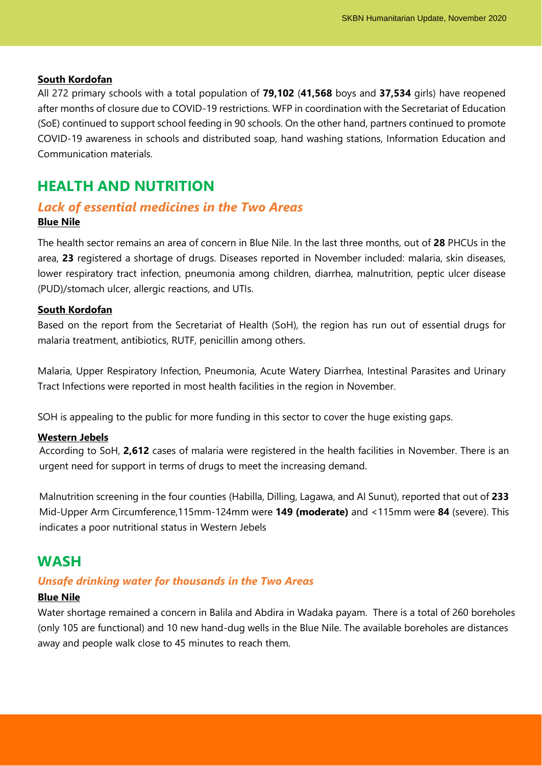#### **South Kordofan**

All 272 primary schools with a total population of **79,102** (**41,568** boys and **37,534** girls) have reopened after months of closure due to COVID-19 restrictions. WFP in coordination with the Secretariat of Education (SoE) continued to support school feeding in 90 schools. On the other hand, partners continued to promote COVID-19 awareness in schools and distributed soap, hand washing stations, Information Education and Communication materials.

### **HEALTH AND NUTRITION**

### *Lack of essential medicines in the Two Areas* **Blue Nile**

The health sector remains an area of concern in Blue Nile. In the last three months, out of **28** PHCUs in the area, **23** registered a shortage of drugs. Diseases reported in November included: malaria, skin diseases, lower respiratory tract infection, pneumonia among children, diarrhea, malnutrition, peptic ulcer disease (PUD)/stomach ulcer, allergic reactions, and UTIs.

#### **South Kordofan**

Based on the report from the Secretariat of Health (SoH), the region has run out of essential drugs for malaria treatment, antibiotics, RUTF, penicillin among others.

Malaria, Upper Respiratory Infection, Pneumonia, Acute Watery Diarrhea, Intestinal Parasites and Urinary Tract Infections were reported in most health facilities in the region in November.

SOH is appealing to the public for more funding in this sector to cover the huge existing gaps.

#### **Western Jebels**

According to SoH, **2,612** cases of malaria were registered in the health facilities in November. There is an urgent need for support in terms of drugs to meet the increasing demand.

Malnutrition screening in the four counties (Habilla, Dilling, Lagawa, and Al Sunut), reported that out of **233** Mid-Upper Arm Circumference,115mm-124mm were **149 (moderate)** and <115mm were **84** (severe). This indicates a poor nutritional status in Western Jebels

### **WASH**

### *Unsafe drinking water for thousands in the Two Areas*

#### **Blue Nile**

Water shortage remained a concern in Balila and Abdira in Wadaka payam. There is a total of 260 boreholes (only 105 are functional) and 10 new hand-dug wells in the Blue Nile. The available boreholes are distances away and people walk close to 45 minutes to reach them.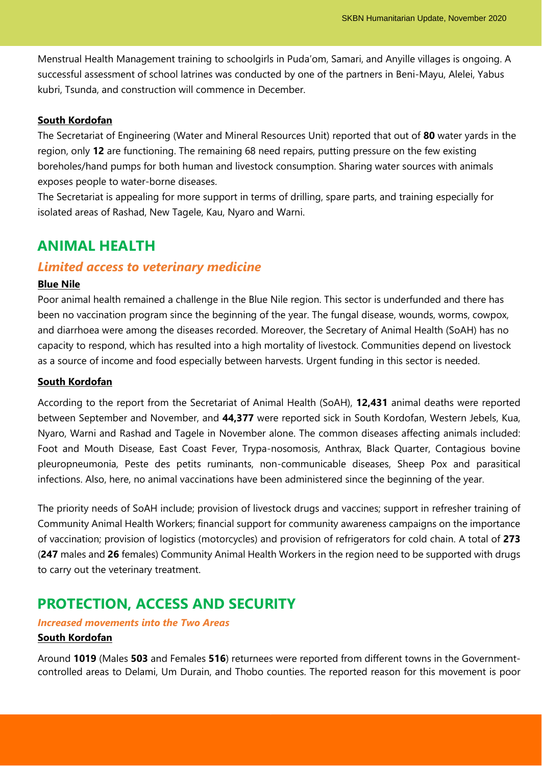Menstrual Health Management training to schoolgirls in Puda'om, Samari, and Anyille villages is ongoing. A successful assessment of school latrines was conducted by one of the partners in Beni-Mayu, Alelei, Yabus kubri, Tsunda, and construction will commence in December.

#### **South Kordofan**

The Secretariat of Engineering (Water and Mineral Resources Unit) reported that out of **80** water yards in the region, only **12** are functioning. The remaining 68 need repairs, putting pressure on the few existing boreholes/hand pumps for both human and livestock consumption. Sharing water sources with animals exposes people to water-borne diseases.

The Secretariat is appealing for more support in terms of drilling, spare parts, and training especially for isolated areas of Rashad, New Tagele, Kau, Nyaro and Warni.

### **ANIMAL HEALTH**

### *Limited access to veterinary medicine*

#### **Blue Nile**

Poor animal health remained a challenge in the Blue Nile region. This sector is underfunded and there has been no vaccination program since the beginning of the year. The fungal disease, wounds, worms, cowpox, and diarrhoea were among the diseases recorded. Moreover, the Secretary of Animal Health (SoAH) has no capacity to respond, which has resulted into a high mortality of livestock. Communities depend on livestock as a source of income and food especially between harvests. Urgent funding in this sector is needed.

#### **South Kordofan**

According to the report from the Secretariat of Animal Health (SoAH), **12,431** animal deaths were reported between September and November, and **44,377** were reported sick in South Kordofan, Western Jebels, Kua, Nyaro, Warni and Rashad and Tagele in November alone. The common diseases affecting animals included: Foot and Mouth Disease, East Coast Fever, Trypa-nosomosis, Anthrax, Black Quarter, Contagious bovine pleuropneumonia, Peste des petits ruminants, non-communicable diseases, Sheep Pox and parasitical infections. Also, here, no animal vaccinations have been administered since the beginning of the year.

The priority needs of SoAH include; provision of livestock drugs and vaccines; support in refresher training of Community Animal Health Workers; financial support for community awareness campaigns on the importance of vaccination; provision of logistics (motorcycles) and provision of refrigerators for cold chain. A total of **273** (**247** males and **26** females) Community Animal Health Workers in the region need to be supported with drugs to carry out the veterinary treatment.

### **PROTECTION, ACCESS AND SECURITY**

### *Increased movements into the Two Areas* **South Kordofan**

Around **1019** (Males **503** and Females **516**) returnees were reported from different towns in the Governmentcontrolled areas to Delami, Um Durain, and Thobo counties. The reported reason for this movement is poor